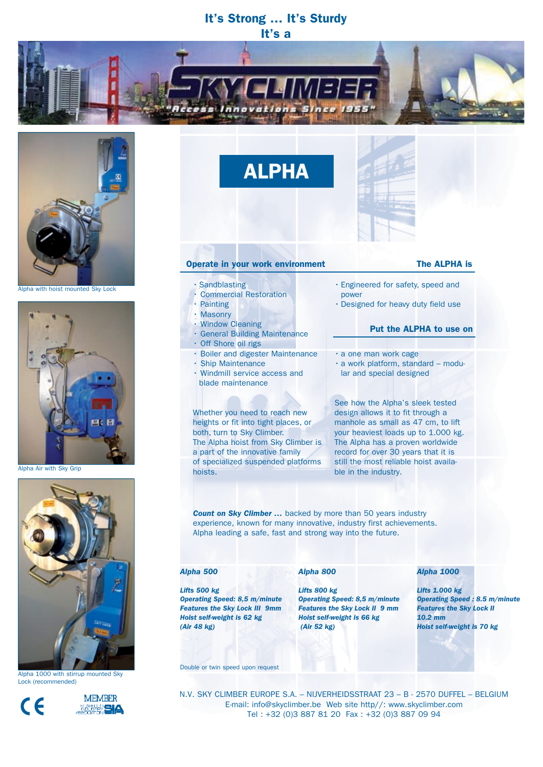# It's Strong … It's Sturdy It's a



Alpha with hoist mounted Sky Lock



Alpha Air with Sky Grip



Alpha 1000 with stirrup mounted Sky Lock (recommended)





ALPHA

#### Operate in your work environment The ALPHA is

- Sandblasting
- Commercial Restoration
- Painting
- Masonry
- Window Cleaning
- General Building Maintenance
- 
- Off Shore oil rigs
- Boiler and digester Maintenance
- Ship Maintenance
- Windmill service access and
- blade maintenance

### Whether you need to reach new heights or fit into tight places, or both, turn to Sky Climber. The Alpha hoist from Sky Climber is a part of the innovative family of specialized suspended platforms hoists.

See how the Alpha's sleek tested design allows it to fit through a manhole as small as 47 cm, to lift your heaviest loads up to 1.000 kg. The Alpha has a proven worldwide record for over 30 years that it is still the most reliable hoist available in the industry.

**Count on Sky Climber ...** backed by more than 50 years industry experience, known for many innovative, industry first achievements. Alpha leading a safe, fast and strong way into the future.

#### *Alpha 500*

*Lifts 500 kg*

*(Air 48 kg)*

#### *Alpha 800*

*Operating Speed: 8,5 m/minute Features the Sky Lock III 9mm Lifts 800 kg Operating Speed: 8,5 m/minute Features the Sky Lock II 9 mm Hoist self-weight is 66 kg (Air 52 kg)*

#### *Alpha 1000*

*Lifts 1.000 kg Operating Speed : 8.5 m/minute Features the Sky Lock II 10.2 mm Hoist self-weight is 70 kg*

Double or twin speed upon request

*Hoist self-weight is 62 kg* 

N.V. SKY CLIMBER EUROPE S.A. – NIJVERHEIDSSTRAAT 23 – B - 2570 DUFFEL – BELGIUM E-mail: info@skyclimber.be Web site http//: www.skyclimber.com Tel : +32 (0)3 887 81 20 Fax : +32 (0)3 887 09 94

- Engineered for safety, speed and power
- Designed for heavy duty field use

## Put the ALPHA to use on

- a one man work cage
- a work platform, standard modu lar and special designed